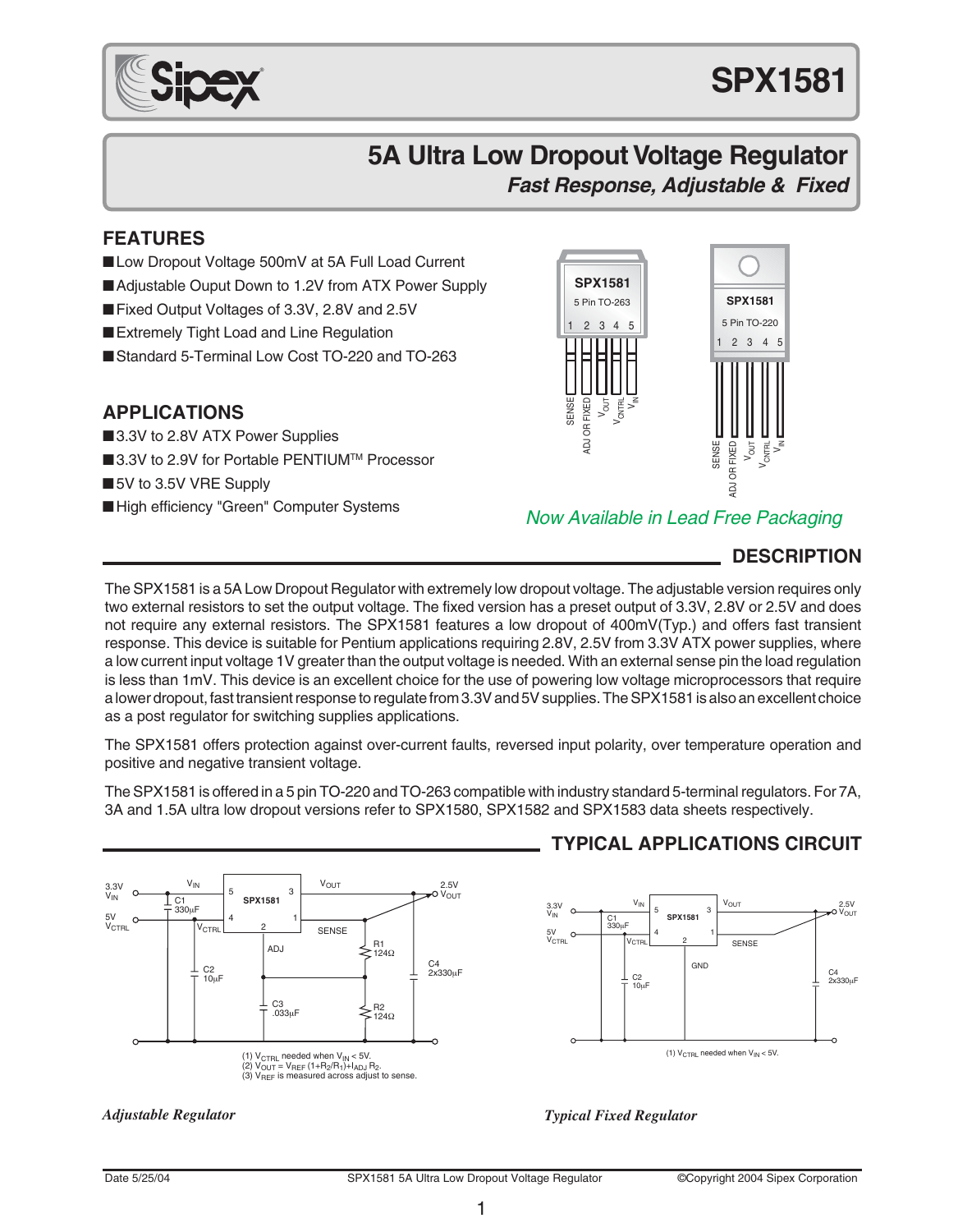

## **5A Ultra Low Dropout Voltage Regulator Fast Response, Adjustable & Fixed**

#### **FEATURES**

- ■Low Dropout Voltage 500mV at 5A Full Load Current
- ■Adjustable Ouput Down to 1.2V from ATX Power Supply
- ■Fixed Output Voltages of 3.3V, 2.8V and 2.5V
- Extremely Tight Load and Line Regulation
- ■Standard 5-Terminal Low Cost TO-220 and TO-263

#### **APPLICATIONS**

- ■3.3V to 2.8V ATX Power Supplies
- ■3.3V to 2.9V for Portable PENTIUM™ Processor
- ■5V to 3.5V VRE Supply
- ■High efficiency "Green" Computer Systems



#### Now Available in Lead Free Packaging

## **DESCRIPTION**

The SPX1581 is a 5A Low Dropout Regulator with extremely low dropout voltage. The adjustable version requires only two external resistors to set the output voltage. The fixed version has a preset output of 3.3V, 2.8V or 2.5V and does not require any external resistors. The SPX1581 features a low dropout of 400mV(Typ.) and offers fast transient response. This device is suitable for Pentium applications requiring 2.8V, 2.5V from 3.3V ATX power supplies, where a low current input voltage 1V greater than the output voltage is needed. With an external sense pin the load regulation is less than 1mV. This device is an excellent choice for the use of powering low voltage microprocessors that require a lower dropout, fast transient response to regulate from 3.3V and 5V supplies. The SPX1581 is also an excellent choice as a post regulator for switching supplies applications.

The SPX1581 offers protection against over-current faults, reversed input polarity, over temperature operation and positive and negative transient voltage.

The SPX1581 is offered in a 5 pin TO-220 and TO-263 compatible with industry standard 5-terminal regulators. For 7A, 3A and 1.5A ultra low dropout versions refer to SPX1580, SPX1582 and SPX1583 data sheets respectively.



## **TYPICAL APPLICATIONS CIRCUIT**



*Adjustable Regulator Typical Fixed Regulator*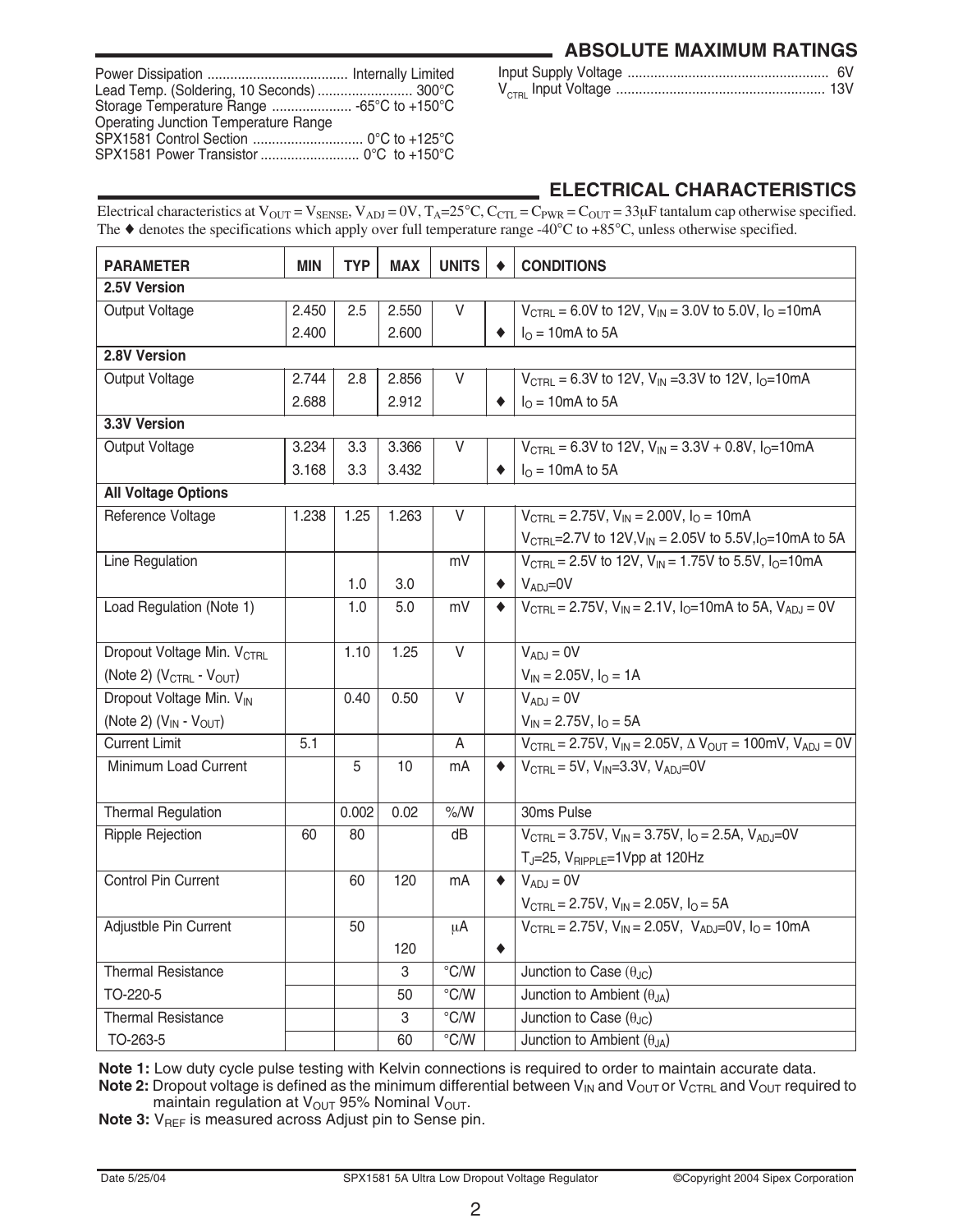|  |  | <b>ABSOLUTE MAXIMUM RATINGS</b> |
|--|--|---------------------------------|
|--|--|---------------------------------|

| Lead Temp. (Soldering, 10 Seconds)  300°C   |  |
|---------------------------------------------|--|
|                                             |  |
| <b>Operating Junction Temperature Range</b> |  |
|                                             |  |

|  |  | 6V |
|--|--|----|
|  |  |    |

## **ELECTRICAL CHARACTERISTICS**

Electrical characteristics at  $V_{\text{OUT}} = V_{\text{SENE}}$ ,  $V_{\text{ADI}} = 0$ V,  $T_{\text{A}} = 25^{\circ}$ C,  $C_{\text{CTL}} = C_{\text{PWR}} = C_{\text{OUT}} = 33 \mu$ F tantalum cap otherwise specified. The  $\blacklozenge$  denotes the specifications which apply over full temperature range -40°C to +85°C, unless otherwise specified.

| <b>PARAMETER</b>                              | <b>MIN</b> | <b>TYP</b> | <b>MAX</b> | <b>UNITS</b>     |   | <b>CONDITIONS</b>                                                                                             |
|-----------------------------------------------|------------|------------|------------|------------------|---|---------------------------------------------------------------------------------------------------------------|
| 2.5V Version                                  |            |            |            |                  |   |                                                                                                               |
| Output Voltage                                | 2.450      | 2.5        | 2.550      | V                |   | $V_{\text{CTBL}}$ = 6.0V to 12V, $V_{\text{IN}}$ = 3.0V to 5.0V, $I_{\text{O}}$ = 10mA                        |
|                                               | 2.400      |            | 2.600      |                  |   | $IO = 10mA$ to 5A                                                                                             |
| 2.8V Version                                  |            |            |            |                  |   |                                                                                                               |
| Output Voltage                                | 2.744      | 2.8        | 2.856      | V                |   | $V_{\text{CTBL}} = 6.3V$ to 12V, $V_{\text{IN}} = 3.3V$ to 12V, $I_{\text{O}} = 10 \text{mA}$                 |
|                                               | 2.688      |            | 2.912      |                  |   | $I0 = 10mA$ to 5A                                                                                             |
| 3.3V Version                                  |            |            |            |                  |   |                                                                                                               |
| Output Voltage                                | 3.234      | 3.3        | 3.366      | V                |   | $V_{\text{CTBL}}$ = 6.3V to 12V, $V_{\text{IN}}$ = 3.3V + 0.8V, $I_{\text{O}}$ =10mA                          |
|                                               | 3.168      | 3.3        | 3.432      |                  |   | $I0 = 10mA$ to 5A                                                                                             |
| <b>All Voltage Options</b>                    |            |            |            |                  |   |                                                                                                               |
| Reference Voltage                             | 1.238      | 1.25       | 1.263      | V                |   | $V_{\text{CTRI}} = 2.75V$ , $V_{\text{IN}} = 2.00V$ , $I_{\Omega} = 10 \text{mA}$                             |
|                                               |            |            |            |                  |   | $V_{\text{CTBI}}$ = 2.7V to 12V, $V_{\text{IN}}$ = 2.05V to 5.5V, $I_{\text{O}}$ = 10mA to 5A                 |
| Line Regulation                               |            |            |            | mV               |   | $V_{\text{CTBL}}$ = 2.5V to 12V, $V_{\text{IN}}$ = 1.75V to 5.5V, $I_{\text{O}}$ =10mA                        |
|                                               |            | 1.0        | 3.0        |                  |   | $V_{AD} = 0V$                                                                                                 |
| Load Regulation (Note 1)                      |            | 1.0        | 5.0        | mV               | ۰ | $V_{\text{CTRL}} = 2.75V, V_{\text{IN}} = 2.1V, I_0 = 10 \text{mA}$ to 5A, $V_{\text{AD,I}} = 0V$             |
|                                               |            |            |            |                  |   |                                                                                                               |
| Dropout Voltage Min. V <sub>CTBL</sub>        |            | 1.10       | 1.25       | V                |   | $V_{AD,J} = 0V$                                                                                               |
| (Note 2) $(V_{\text{CTBI}} - V_{\text{OUT}})$ |            |            |            |                  |   | $V_{IN} = 2.05V$ , $I_{O} = 1A$                                                                               |
| Dropout Voltage Min. VIN                      |            | 0.40       | 0.50       | $\overline{V}$   |   | $V_{ADJ} = 0V$                                                                                                |
| (Note 2) $(V_{IN} - V_{OUT})$                 |            |            |            |                  |   | $V_{IN}$ = 2.75V, $I_{O}$ = 5A                                                                                |
| <b>Current Limit</b>                          | 5.1        |            |            | A                |   | $V_{\text{CTRL}} = 2.75V$ , $V_{\text{IN}} = 2.05V$ , $\Delta V_{\text{OUT}} = 100$ mV, $V_{\text{ADJ}} = 0V$ |
| Minimum Load Current                          |            | 5          | 10         | mA               | ٠ | $V_{\text{CTBL}} = 5V$ , $V_{\text{IN}} = 3.3V$ , $V_{\text{AD,I}} = 0V$                                      |
|                                               |            |            |            |                  |   |                                                                                                               |
| <b>Thermal Regulation</b>                     |            | 0.002      | 0.02       | $\%$ /W          |   | 30ms Pulse                                                                                                    |
| <b>Ripple Rejection</b>                       | 60         | 80         |            | dB               |   | $V_{\text{CTBL}} = 3.75V$ , $V_{\text{IN}} = 3.75V$ , $I_{\text{O}} = 2.5A$ , $V_{\text{AD,I}} = 0V$          |
|                                               |            |            |            |                  |   | $T_J = 25$ , $V_{RIPPLE} = 1$ Vpp at 120Hz                                                                    |
| Control Pin Current                           |            | 60         | 120        | mA               | ٠ | $V_{ADJ} = 0V$                                                                                                |
|                                               |            |            |            |                  |   | $V_{\text{CTRL}} = 2.75V$ , $V_{\text{IN}} = 2.05V$ , $I_{\text{O}} = 5A$                                     |
| Adjustble Pin Current                         |            | 50         |            | μA               |   | $V_{\text{CTBL}} = 2.75V$ , $V_{\text{IN}} = 2.05V$ , $V_{\text{AD,i}} = 0V$ , $I_{\text{O}} = 10 \text{mA}$  |
|                                               |            |            | 120        |                  | ۰ |                                                                                                               |
| <b>Thermal Resistance</b>                     |            |            | 3          | $\overline{C/W}$ |   | Junction to Case $(\theta_{JC})$                                                                              |
| TO-220-5                                      |            |            | 50         | $\overline{C/W}$ |   | Junction to Ambient $(\theta_{JA})$                                                                           |
| <b>Thermal Resistance</b>                     |            |            | 3          | °C/W             |   | Junction to Case $(\theta_{JC})$                                                                              |
| TO-263-5                                      |            |            | 60         | $\overline{C/W}$ |   | Junction to Ambient $(\theta_{\text{JA}})$                                                                    |

**Note 1:** Low duty cycle pulse testing with Kelvin connections is required to order to maintain accurate data.

**Note 2:** Dropout voltage is defined as the minimum differential between V<sub>IN</sub> and V<sub>OUT</sub> or V<sub>CTRL</sub> and V<sub>OUT</sub> required to maintain regulation at V<sub>OUT</sub> 95% Nominal V<sub>OUT</sub>.

**Note 3:** V<sub>REF</sub> is measured across Adjust pin to Sense pin.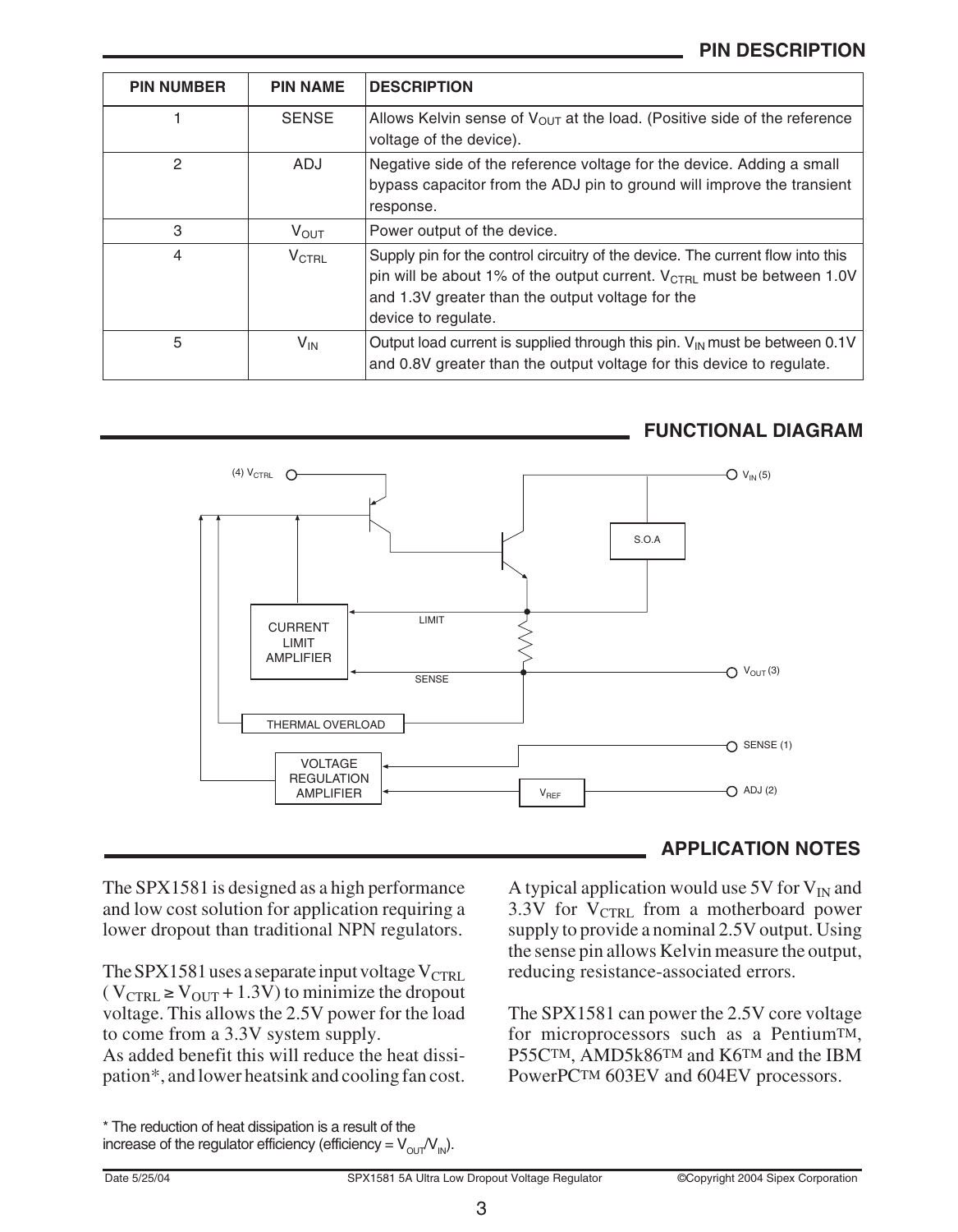## **PIN DESCRIPTION**

| <b>PIN NUMBER</b> | <b>PIN NAME</b>   | <b>DESCRIPTION</b>                                                                                                                                                                                                                              |
|-------------------|-------------------|-------------------------------------------------------------------------------------------------------------------------------------------------------------------------------------------------------------------------------------------------|
|                   | <b>SENSE</b>      | Allows Kelvin sense of $V_{\text{OUT}}$ at the load. (Positive side of the reference<br>voltage of the device).                                                                                                                                 |
| 2                 | <b>ADJ</b>        | Negative side of the reference voltage for the device. Adding a small<br>bypass capacitor from the ADJ pin to ground will improve the transient<br>response.                                                                                    |
| 3                 | $V_{\text{OUT}}$  | Power output of the device.                                                                                                                                                                                                                     |
| 4                 | $V_{\text{CTRL}}$ | Supply pin for the control circuitry of the device. The current flow into this<br>pin will be about 1% of the output current. $V_{\text{CTRL}}$ must be between 1.0V<br>and 1.3V greater than the output voltage for the<br>device to regulate. |
| 5                 | V <sub>IN</sub>   | Output load current is supplied through this pin. $V_{\text{IN}}$ must be between 0.1V<br>and 0.8V greater than the output voltage for this device to regulate.                                                                                 |



## **FUNCTIONAL DIAGRAM**

The SPX1581 is designed as a high performance and low cost solution for application requiring a lower dropout than traditional NPN regulators.

The SPX1581 uses a separate input voltage  $V_{\text{CTRL}}$  $(V_{\text{CTRL}} \geq V_{\text{OUT}} + 1.3\overline{V})$  to minimize the dropout voltage. This allows the 2.5V power for the load to come from a 3.3V system supply.

As added benefit this will reduce the heat dissipation\*, and lower heatsink and cooling fan cost.

#### \* The reduction of heat dissipation is a result of the increase of the regulator efficiency (efficiency =  $V_{\text{OUT}}/V_{\text{IN}}$ ).

## **APPLICATION NOTES**

A typical application would use 5V for  $V_{IN}$  and 3.3V for  $V_{CTRI}$  from a motherboard power supply to provide a nominal 2.5V output. Using the sense pin allows Kelvin measure the output, reducing resistance-associated errors.

The SPX1581 can power the 2.5V core voltage for microprocessors such as a PentiumTM, P55CTM, AMD5k86TM and K6TM and the IBM PowerPCTM 603EV and 604EV processors.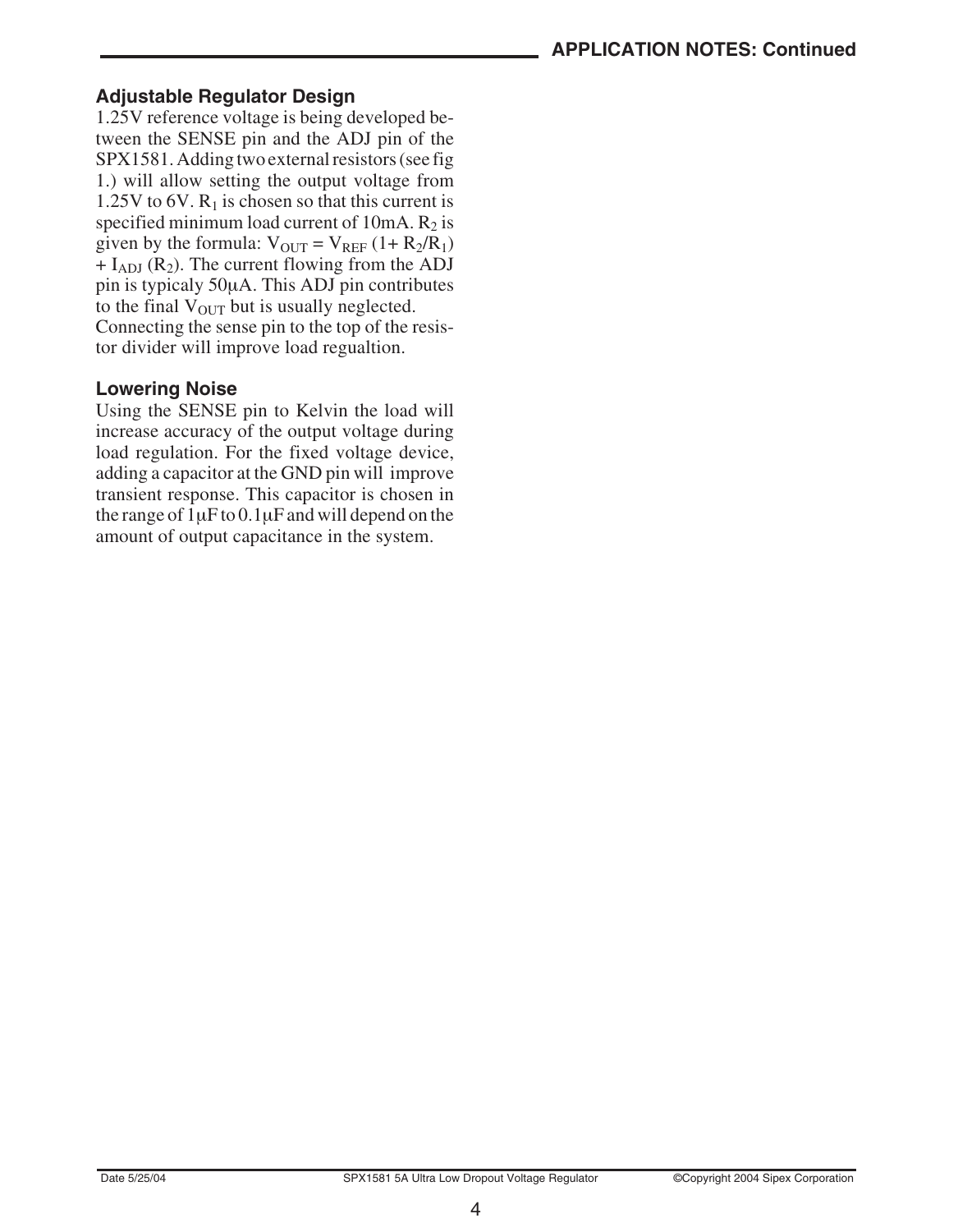#### **Adjustable Regulator Design**

1.25V reference voltage is being developed between the SENSE pin and the ADJ pin of the SPX1581. Adding two external resistors (see fig 1.) will allow setting the output voltage from 1.25V to 6V.  $R_1$  is chosen so that this current is specified minimum load current of  $10mA$ .  $R_2$  is given by the formula:  $V_{OUT} = V_{REF} (1 + R_2/R_1)$  $+ I<sub>ADJ</sub>$  (R<sub>2</sub>). The current flowing from the ADJ pin is typicaly 50µA. This ADJ pin contributes to the final  $V_{\text{OUT}}$  but is usually neglected. Connecting the sense pin to the top of the resistor divider will improve load regualtion.

#### **Lowering Noise**

Using the SENSE pin to Kelvin the load will increase accuracy of the output voltage during load regulation. For the fixed voltage device, adding a capacitor at the GND pin will improve transient response. This capacitor is chosen in the range of  $1\mu$ F to  $0.1\mu$ F and will depend on the amount of output capacitance in the system.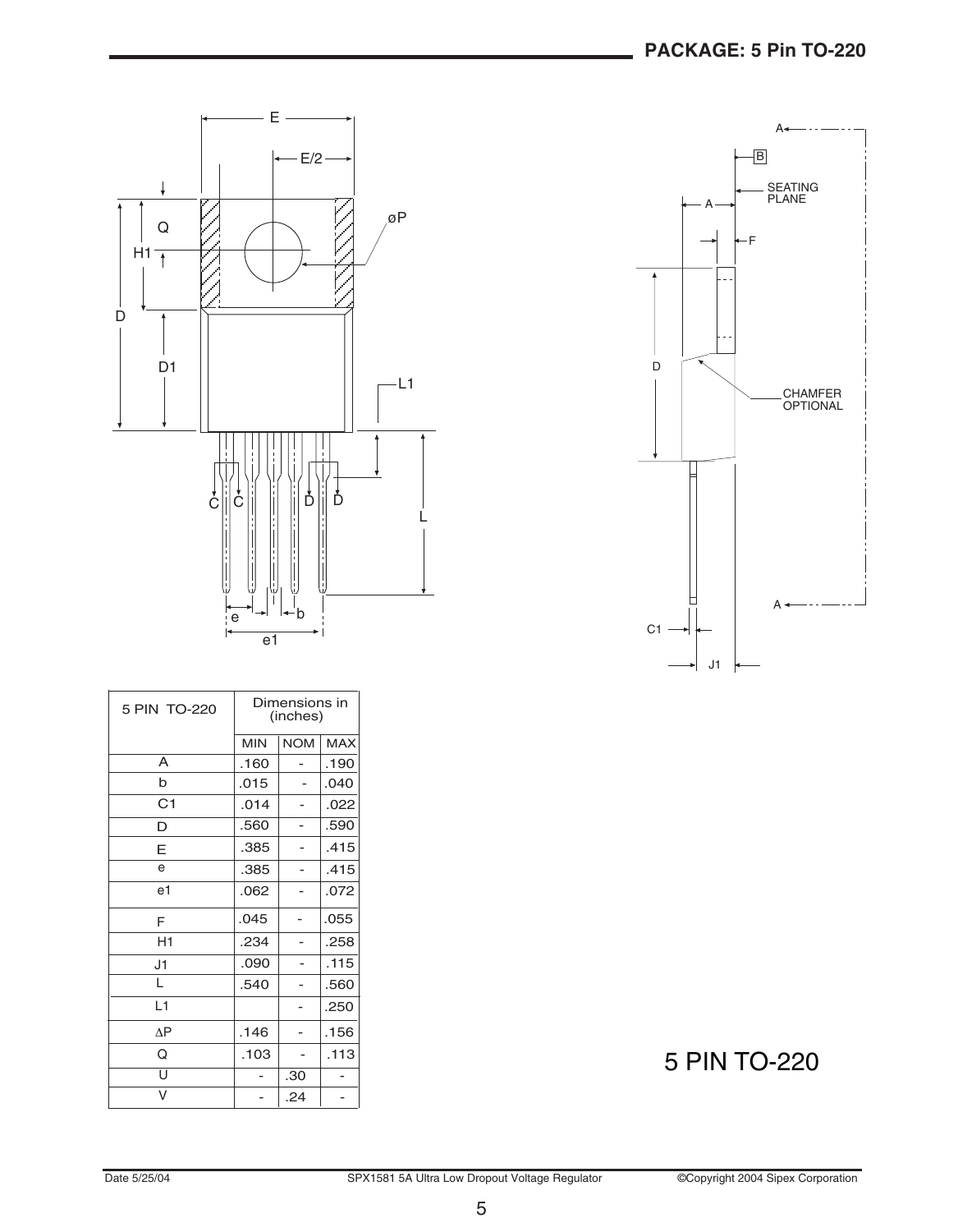

| $\overline{\mathsf{B}}$          |  |
|----------------------------------|--|
| <b>SEATING</b><br><b>PLANE</b>   |  |
| ٠F                               |  |
| D<br>CHAMFER<br>OPTIONAL         |  |
| C <sub>1</sub><br>J <sub>1</sub> |  |

| 5 PIN TO-220   | Dimensions in<br>(inches) |            |            |
|----------------|---------------------------|------------|------------|
|                | <b>MIN</b>                | <b>NOM</b> | <b>MAX</b> |
| A              | .160                      |            | .190       |
| b              | .015                      |            | .040       |
| C <sub>1</sub> | .014                      |            | .022       |
| D              | .560                      | -          | .590       |
| E              | .385                      |            | .415       |
| e              | .385                      |            | .415       |
| e1             | .062                      |            | .072       |
| F              | .045                      |            | .055       |
| H1             | .234                      |            | .258       |
| J1             | .090                      |            | .115       |
| L              | .540                      |            | .560       |
| L1             |                           |            | .250       |
| $\Delta P$     | .146                      |            | .156       |
| Q              | .103                      |            | .113       |
| U              |                           | .30        |            |
| V              |                           | .24        |            |

# 5 PIN TO-220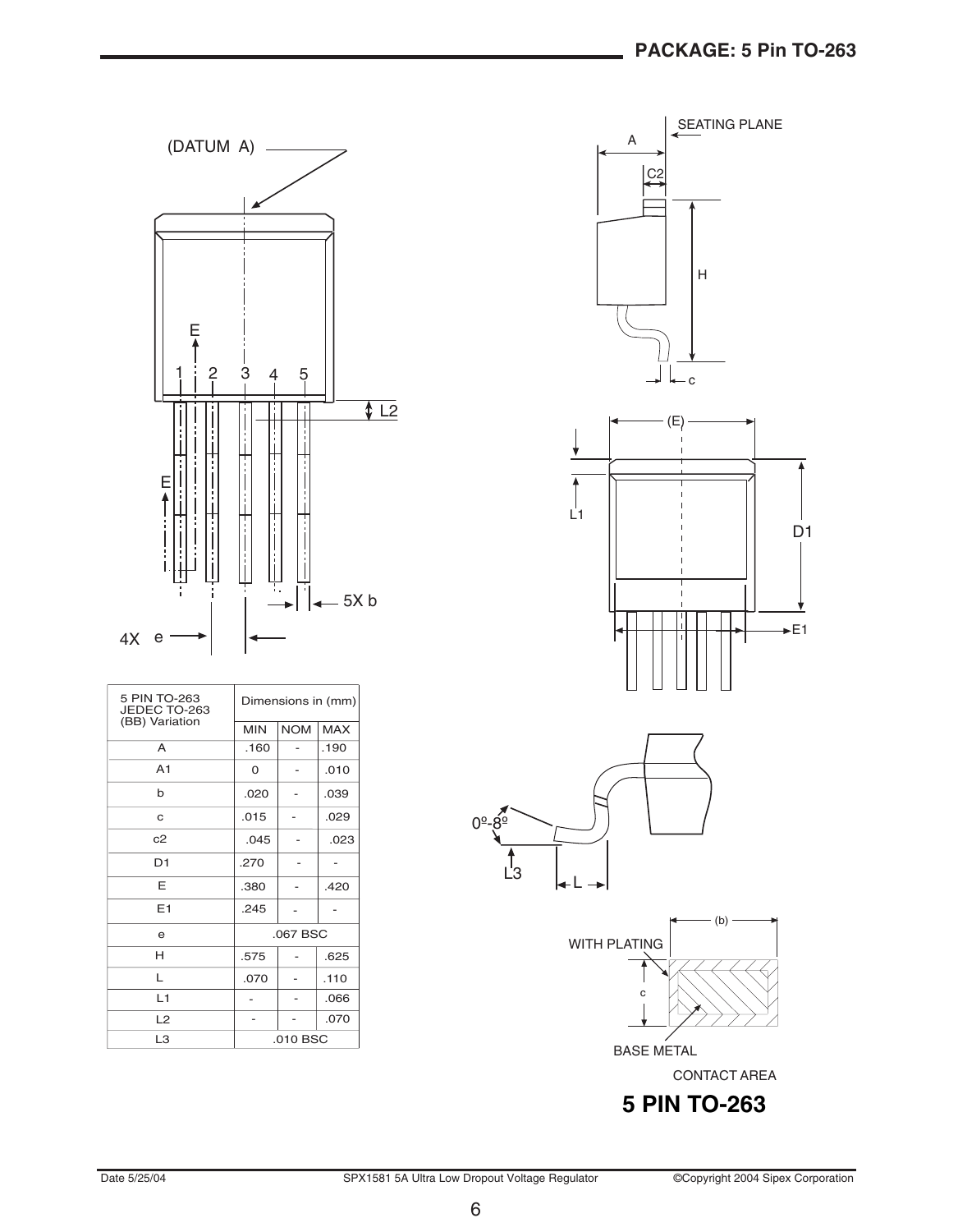



D1













5 PIN TO-263 Dimensions in (mm)<br>JEDEC TO-263 <br>(BB) Variation

CONTACT AREA

6